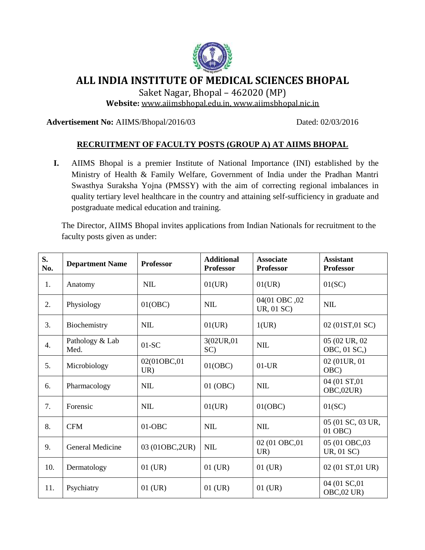

# **ALL INDIA INSTITUTE OF MEDICAL SCIENCES BHOPAL**

Saket Nagar, Bhopal – 462020 (MP)

**Website:** [www.aiimsbhopal.edu.in,](http://www.aiimsbhopal.edu.in/) [www.aiimsbhopal.nic.in](../../../AppData/Local/Temp/www.aiimsbhopal.nic.in)

**Advertisement No:** AIIMS/Bhopal/2016/03 Dated: 02/03/2016

### **RECRUITMENT OF FACULTY POSTS (GROUP A) AT AIIMS BHOPAL**

**I.** AIIMS Bhopal is a premier Institute of National Importance (INI) established by the Ministry of Health & Family Welfare, Government of India under the Pradhan Mantri Swasthya Suraksha Yojna (PMSSY) with the aim of correcting regional imbalances in quality tertiary level healthcare in the country and attaining self-sufficiency in graduate and postgraduate medical education and training.

The Director, AIIMS Bhopal invites applications from Indian Nationals for recruitment to the faculty posts given as under:

| S.<br>No. | <b>Department Name</b>  | <b>Professor</b>   | <b>Additional</b><br><b>Professor</b> | <b>Associate</b><br><b>Professor</b> | <b>Assistant</b><br><b>Professor</b> |
|-----------|-------------------------|--------------------|---------------------------------------|--------------------------------------|--------------------------------------|
| 1.        | Anatomy                 | NIL                | 01(UR)                                | 01(UR)                               | 01(SC)                               |
| 2.        | Physiology              | 01(OBC)            | $NIL$                                 | 04(01 OBC, 02<br>UR, 01 SC)          | $\text{NIL}$                         |
| 3.        | Biochemistry            | <b>NIL</b>         | 01(UR)                                | 1(UR)                                | 02 (01ST,01 SC)                      |
| 4.        | Pathology & Lab<br>Med. | $01-SC$            | 3(02UR,01<br>SC)                      | <b>NIL</b>                           | 05 (02 UR, 02)<br>OBC, 01 SC,)       |
| 5.        | Microbiology            | 02(01OBC,01<br>UR) | 01(OBC)                               | $01$ -UR                             | 02 (01 UR, 01<br>OBC)                |
| 6.        | Pharmacology            | NIL                | 01 (OBC)                              | <b>NIL</b>                           | 04 (01 ST,01)<br>OBC,02UR)           |
| 7.        | Forensic                | NIL                | 01(UR)                                | 01(OBC)                              | 01(SC)                               |
| 8.        | <b>CFM</b>              | $01-OBC$           | <b>NIL</b>                            | <b>NIL</b>                           | 05 (01 SC, 03 UR,<br>01 OBC)         |
| 9.        | General Medicine        | 03 (01OBC, 2UR)    | <b>NIL</b>                            | 02 (01 OBC,01<br>UR)                 | 05 (01 OBC,03<br>UR, 01 SC)          |
| 10.       | Dermatology             | $01$ (UR)          | $01$ (UR)                             | $01$ (UR)                            | 02 (01 ST,01 UR)                     |
| 11.       | Psychiatry              | $01$ (UR)          | $01$ (UR)                             | $01$ (UR)                            | 04 (01 SC,01<br><b>OBC,02 UR)</b>    |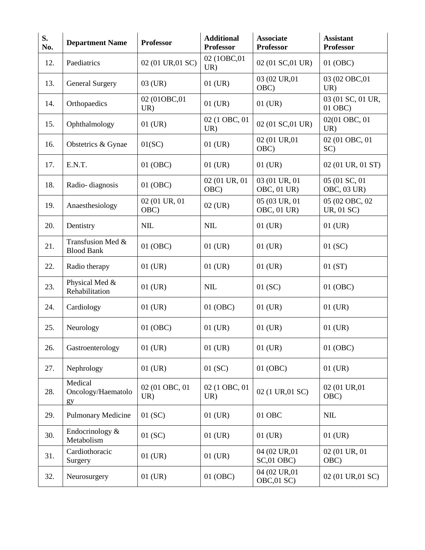| S.<br>No. | <b>Department Name</b>                 | <b>Professor</b>      | <b>Additional</b><br><b>Professor</b> | <b>Associate</b><br><b>Professor</b> | <b>Assistant</b><br><b>Professor</b> |
|-----------|----------------------------------------|-----------------------|---------------------------------------|--------------------------------------|--------------------------------------|
| 12.       | Paediatrics                            | 02 (01 UR,01 SC)      | 02 (1OBC,01<br>UR)                    | 02 (01 SC,01 UR)                     | 01 (OBC)                             |
| 13.       | <b>General Surgery</b>                 | 03 (UR)               | $01$ (UR)                             | 03 (02 UR,01<br>OBC)                 | 03 (02 OBC,01<br>UR)                 |
| 14.       | Orthopaedics                           | 02 (01OBC,01<br>UR)   | $01$ (UR)                             | $01$ (UR)                            | 03 (01 SC, 01 UR,<br>01 OBC)         |
| 15.       | Ophthalmology                          | $01$ (UR)             | 02 (1 OBC, 01<br>UR)                  | 02 (01 SC,01 UR)                     | 02(01 OBC, 01<br>UR)                 |
| 16.       | Obstetrics & Gynae                     | 01(SC)                | $01$ (UR)                             | 02 (01 UR,01<br>OBC)                 | 02 (01 OBC, 01<br>SC)                |
| 17.       | E.N.T.                                 | 01 (OBC)              | $01$ (UR)                             | $01$ (UR)                            | 02 (01 UR, 01 ST)                    |
| 18.       | Radio-diagnosis                        | 01 (OBC)              | 02 (01 UR, 01<br>OBC)                 | 03 (01 UR, 01<br>OBC, 01 UR)         | 05 (01 SC, 01)<br>OBC, 03 UR)        |
| 19.       | Anaesthesiology                        | 02 (01 UR, 01<br>OBC) | $02$ (UR)                             | 05 (03 UR, 01<br>OBC, 01 UR)         | 05 (02 OBC, 02<br>UR, 01 SC)         |
| 20.       | Dentistry                              | NIL                   | <b>NIL</b>                            | $01$ (UR)                            | $01$ (UR)                            |
| 21.       | Transfusion Med &<br><b>Blood Bank</b> | 01 (OBC)              | $01$ (UR)                             | $01$ (UR)                            | 01(SC)                               |
| 22.       | Radio therapy                          | $01$ (UR)             | $01$ (UR)                             | $01$ (UR)                            | 01(ST)                               |
| 23.       | Physical Med &<br>Rehabilitation       | $01$ (UR)             | <b>NIL</b>                            | 01(SC)                               | $01$ (OBC)                           |
| 24.       | Cardiology                             | $01$ (UR)             | 01 (OBC)                              | $01$ (UR)                            | $01$ (UR)                            |
| 25.       | Neurology                              | 01 (OBC)              | $01$ (UR)                             | $01$ (UR)                            | $01$ (UR)                            |
| 26.       | Gastroenterology                       | $01$ (UR)             | 01 (UR)                               | $01$ (UR)                            | 01 (OBC)                             |
| 27.       | Nephrology                             | 01 (UR)               | 01(SC)                                | 01 (OBC)                             | $01$ (UR)                            |
| 28.       | Medical<br>Oncology/Haematolo<br>gy    | 02 (01 OBC, 01<br>UR) | 02 (1 OBC, 01<br>UR)                  | 02 (1 UR,01 SC)                      | 02 (01 UR,01<br>OBC)                 |
| 29.       | <b>Pulmonary Medicine</b>              | 01 (SC)               | $01$ (UR)                             | 01 OBC                               | <b>NIL</b>                           |
| 30.       | Endocrinology $&$<br>Metabolism        | 01 (SC)               | $01$ (UR)                             | $01$ (UR)                            | $01$ (UR)                            |
| 31.       | Cardiothoracic<br>Surgery              | 01 (UR)               | $01$ (UR)                             | 04 (02 UR,01)<br>$SC,01$ OBC)        | 02 (01 UR, 01<br>OBC)                |
| 32.       | Neurosurgery                           | 01 (UR)               | 01 (OBC)                              | 04 (02 UR,01)<br>OBC,01 SC)          | 02 (01 UR,01 SC)                     |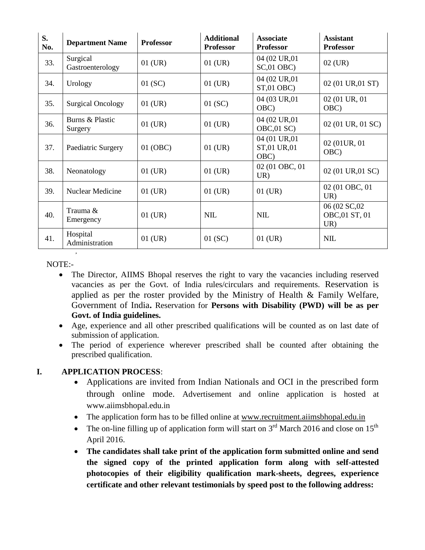| S.<br>No. | <b>Department Name</b>       | <b>Professor</b> | <b>Additional</b><br><b>Professor</b> | <b>Associate</b><br><b>Professor</b> | <b>Assistant</b><br><b>Professor</b>  |
|-----------|------------------------------|------------------|---------------------------------------|--------------------------------------|---------------------------------------|
| 33.       | Surgical<br>Gastroenterology | $01$ (UR)        | $01$ (UR)                             | 04 (02 UR,01)<br>$SC,01$ OBC)        | $02$ (UR)                             |
| 34.       | Urology                      | $01$ (SC)        | $01$ (UR)                             | 04 (02 UR,01)<br>$ST,01$ OBC)        | 02 (01 UR,01 ST)                      |
| 35.       | <b>Surgical Oncology</b>     | $01$ (UR)        | 01(SC)                                | 04 (03 UR,01)<br>OBC)                | 02 (01 UR, 01<br>OBC)                 |
| 36.       | Burns & Plastic<br>Surgery   | $01$ (UR)        | $01$ (UR)                             | 04 (02 UR,01)<br>OBC,01 SC)          | 02 (01 UR, 01 SC)                     |
| 37.       | Paediatric Surgery           | 01 (OBC)         | $01$ (UR)                             | 04 (01 UR,01<br>ST,01 UR,01<br>OBC)  | 02 (01 UR, 01<br>OBC)                 |
| 38.       | Neonatology                  | $01$ (UR)        | $01$ (UR)                             | 02 (01 OBC, 01<br>UR)                | 02 (01 UR,01 SC)                      |
| 39.       | Nuclear Medicine             | $01$ (UR)        | $01$ (UR)                             | $01$ (UR)                            | 02 (01 OBC, 01<br>UR)                 |
| 40.       | Trauma &<br>Emergency        | $01$ (UR)        | <b>NIL</b>                            | <b>NIL</b>                           | 06 (02 SC,02)<br>OBC,01 ST, 01<br>UR) |
| 41.       | Hospital<br>Administration   | $01$ (UR)        | 01(SC)                                | $01$ (UR)                            | <b>NIL</b>                            |

NOTE:-

- The Director, AIIMS Bhopal reserves the right to vary the vacancies including reserved vacancies as per the Govt. of India rules/circulars and requirements. Reservation is applied as per the roster provided by the Ministry of Health & Family Welfare, Government of India**.** Reservation for **Persons with Disability (PWD) will be as per Govt. of India guidelines.**
- Age, experience and all other prescribed qualifications will be counted as on last date of submission of application.
- The period of experience wherever prescribed shall be counted after obtaining the prescribed qualification.

### **I. APPLICATION PROCESS**:

- Applications are invited from Indian Nationals and OCI in the prescribed form through online mode. Advertisement and online application is hosted at [www.aiimsbhopal.edu.in](http://www.aiimsbhopal.edu.in/)
- The application form has to be filled online at [www.recruitment.aiimsbhopal.edu.in](http://www.recruitment.aiimsbhopal.edu.in/)
- The on-line filling up of application form will start on  $3<sup>rd</sup>$  March 2016 and close on 15<sup>th</sup> April 2016.
- **The candidates shall take print of the application form submitted online and send the signed copy of the printed application form along with self-attested photocopies of their eligibility qualification mark-sheets, degrees, experience certificate and other relevant testimonials by speed post to the following address:**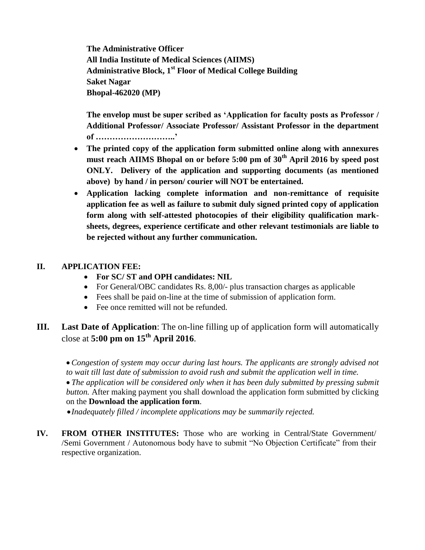**The Administrative Officer All India Institute of Medical Sciences (AIIMS) Administrative Block, 1st Floor of Medical College Building Saket Nagar Bhopal-462020 (MP)** 

**The envelop must be super scribed as 'Application for faculty posts as Professor / Additional Professor/ Associate Professor/ Assistant Professor in the department of ………………………..'**

- **The printed copy of the application form submitted online along with annexures must reach AIIMS Bhopal on or before 5:00 pm of 30th April 2016 by speed post ONLY. Delivery of the application and supporting documents (as mentioned above) by hand / in person/ courier will NOT be entertained.**
- **Application lacking complete information and non-remittance of requisite application fee as well as failure to submit duly signed printed copy of application form along with self-attested photocopies of their eligibility qualification marksheets, degrees, experience certificate and other relevant testimonials are liable to be rejected without any further communication.**

#### **II. APPLICATION FEE:**

- **For SC/ ST and OPH candidates: NIL**
- For General/OBC candidates Rs. 8,00/- plus transaction charges as applicable
- Fees shall be paid on-line at the time of submission of application form.
- Fee once remitted will not be refunded.
- **III. Last Date of Application**: The on-line filling up of application form will automatically close at **5:00 pm on 15th April 2016**.

 *Congestion of system may occur during last hours. The applicants are strongly advised not to wait till last date of submission to avoid rush and submit the application well in time.*

 *The application will be considered only when it has been duly submitted by pressing submit button.* After making payment you shall download the application form submitted by clicking on the **Download the application form**.

*Inadequately filled / incomplete applications may be summarily rejected.*

**IV. FROM OTHER INSTITUTES:** Those who are working in Central/State Government/ /Semi Government / Autonomous body have to submit "No Objection Certificate" from their respective organization.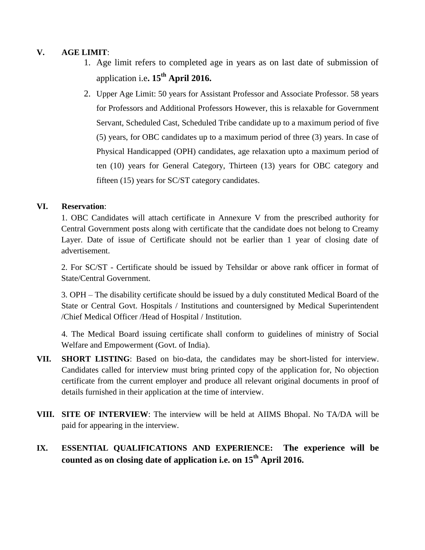#### **V. AGE LIMIT**:

- 1. Age limit refers to completed age in years as on last date of submission of application i.e**. 15th April 2016.**
- 2. Upper Age Limit: 50 years for Assistant Professor and Associate Professor. 58 years for Professors and Additional Professors However, this is relaxable for Government Servant, Scheduled Cast, Scheduled Tribe candidate up to a maximum period of five (5) years, for OBC candidates up to a maximum period of three (3) years. In case of Physical Handicapped (OPH) candidates, age relaxation upto a maximum period of ten (10) years for General Category, Thirteen (13) years for OBC category and fifteen (15) years for SC/ST category candidates.

### **VI. Reservation**:

 1. OBC Candidates will attach certificate in Annexure V from the prescribed authority for Central Government posts along with certificate that the candidate does not belong to Creamy Layer. Date of issue of Certificate should not be earlier than 1 year of closing date of advertisement.

2. For SC/ST - Certificate should be issued by Tehsildar or above rank officer in format of State/Central Government.

3. OPH – The disability certificate should be issued by a duly constituted Medical Board of the State or Central Govt. Hospitals / Institutions and countersigned by Medical Superintendent /Chief Medical Officer /Head of Hospital / Institution.

 4. The Medical Board issuing certificate shall conform to guidelines of ministry of Social Welfare and Empowerment (Govt. of India).

- **VII. SHORT LISTING**: Based on bio-data, the candidates may be short-listed for interview. Candidates called for interview must bring printed copy of the application for, No objection certificate from the current employer and produce all relevant original documents in proof of details furnished in their application at the time of interview.
- **VIII. SITE OF INTERVIEW**: The interview will be held at AIIMS Bhopal. No TA/DA will be paid for appearing in the interview.

## **IX. ESSENTIAL QUALIFICATIONS AND EXPERIENCE: The experience will be counted as on closing date of application i.e. on 15th April 2016.**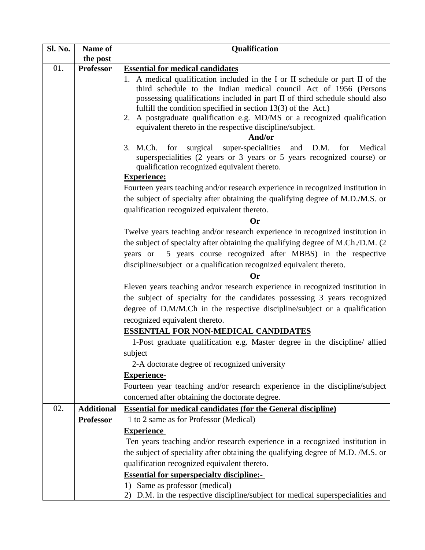| Sl. No. | Name of           | Qualification                                                                                                                               |
|---------|-------------------|---------------------------------------------------------------------------------------------------------------------------------------------|
|         | the post          |                                                                                                                                             |
| 01.     | <b>Professor</b>  | <b>Essential for medical candidates</b>                                                                                                     |
|         |                   | 1. A medical qualification included in the I or II schedule or part II of the                                                               |
|         |                   | third schedule to the Indian medical council Act of 1956 (Persons                                                                           |
|         |                   | possessing qualifications included in part II of third schedule should also                                                                 |
|         |                   | fulfill the condition specified in section $13(3)$ of the Act.)<br>2. A postgraduate qualification e.g. MD/MS or a recognized qualification |
|         |                   | equivalent thereto in the respective discipline/subject.                                                                                    |
|         |                   | And/or                                                                                                                                      |
|         |                   | super-specialities<br>Medical<br>3. M.Ch.<br>for<br>surgical<br>and D.M.<br>for                                                             |
|         |                   | superspecialities (2 years or 3 years or 5 years recognized course) or                                                                      |
|         |                   | qualification recognized equivalent thereto.                                                                                                |
|         |                   | <b>Experience:</b>                                                                                                                          |
|         |                   | Fourteen years teaching and/or research experience in recognized institution in                                                             |
|         |                   | the subject of specialty after obtaining the qualifying degree of M.D./M.S. or                                                              |
|         |                   | qualification recognized equivalent thereto.                                                                                                |
|         |                   | Or                                                                                                                                          |
|         |                   | Twelve years teaching and/or research experience in recognized institution in                                                               |
|         |                   | the subject of specialty after obtaining the qualifying degree of M.Ch./D.M. (2)                                                            |
|         |                   | years or 5 years course recognized after MBBS) in the respective                                                                            |
|         |                   | discipline/subject or a qualification recognized equivalent thereto.                                                                        |
|         |                   | <b>Or</b>                                                                                                                                   |
|         |                   | Eleven years teaching and/or research experience in recognized institution in                                                               |
|         |                   | the subject of specialty for the candidates possessing 3 years recognized                                                                   |
|         |                   | degree of D.M/M.Ch in the respective discipline/subject or a qualification                                                                  |
|         |                   | recognized equivalent thereto.                                                                                                              |
|         |                   | <b>ESSENTIAL FOR NON-MEDICAL CANDIDATES</b>                                                                                                 |
|         |                   | 1-Post graduate qualification e.g. Master degree in the discipline/ allied                                                                  |
|         |                   | subject                                                                                                                                     |
|         |                   | 2-A doctorate degree of recognized university                                                                                               |
|         |                   | <b>Experience-</b>                                                                                                                          |
|         |                   | Fourteen year teaching and/or research experience in the discipline/subject                                                                 |
|         |                   | concerned after obtaining the doctorate degree.                                                                                             |
| 02.     | <b>Additional</b> | <b>Essential for medical candidates (for the General discipline)</b>                                                                        |
|         | <b>Professor</b>  | 1 to 2 same as for Professor (Medical)                                                                                                      |
|         |                   | <b>Experience</b>                                                                                                                           |
|         |                   | Ten years teaching and/or research experience in a recognized institution in                                                                |
|         |                   | the subject of speciality after obtaining the qualifying degree of M.D. /M.S. or                                                            |
|         |                   | qualification recognized equivalent thereto.                                                                                                |
|         |                   | <b>Essential for superspecialty discipline:-</b>                                                                                            |
|         |                   | Same as professor (medical)<br>1)                                                                                                           |
|         |                   | D.M. in the respective discipline/subject for medical superspecialities and<br>2)                                                           |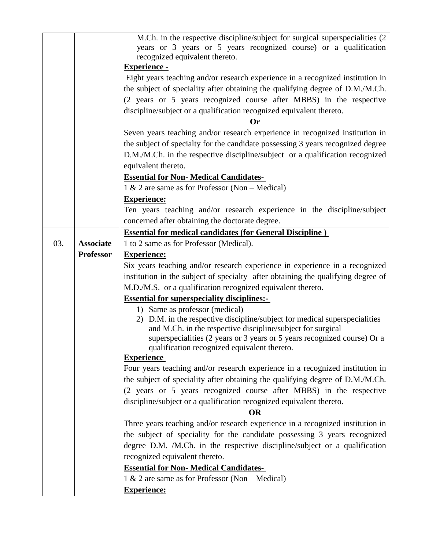|     |                  | M.Ch. in the respective discipline/subject for surgical superspecialities (2)                                   |  |
|-----|------------------|-----------------------------------------------------------------------------------------------------------------|--|
|     |                  | years or 3 years or 5 years recognized course) or a qualification                                               |  |
|     |                  | recognized equivalent thereto.                                                                                  |  |
|     |                  | <b>Experience -</b>                                                                                             |  |
|     |                  | Eight years teaching and/or research experience in a recognized institution in                                  |  |
|     |                  | the subject of speciality after obtaining the qualifying degree of D.M./M.Ch.                                   |  |
|     |                  | (2 years or 5 years recognized course after MBBS) in the respective                                             |  |
|     |                  | discipline/subject or a qualification recognized equivalent thereto.                                            |  |
|     |                  | Or                                                                                                              |  |
|     |                  | Seven years teaching and/or research experience in recognized institution in                                    |  |
|     |                  | the subject of specialty for the candidate possessing 3 years recognized degree                                 |  |
|     |                  | D.M./M.Ch. in the respective discipline/subject or a qualification recognized                                   |  |
|     |                  | equivalent thereto.                                                                                             |  |
|     |                  | <b>Essential for Non- Medical Candidates-</b>                                                                   |  |
|     |                  | $1 \& 2$ are same as for Professor (Non – Medical)                                                              |  |
|     |                  | <b>Experience:</b>                                                                                              |  |
|     |                  | Ten years teaching and/or research experience in the discipline/subject                                         |  |
|     |                  | concerned after obtaining the doctorate degree.                                                                 |  |
|     |                  | <b>Essential for medical candidates (for General Discipline)</b>                                                |  |
| 03. | <b>Associate</b> | 1 to 2 same as for Professor (Medical).                                                                         |  |
|     | <b>Professor</b> | <b>Experience:</b>                                                                                              |  |
|     |                  | Six years teaching and/or research experience in experience in a recognized                                     |  |
|     |                  | institution in the subject of specialty after obtaining the qualifying degree of                                |  |
|     |                  | M.D./M.S. or a qualification recognized equivalent thereto.                                                     |  |
|     |                  | <b>Essential for superspeciality disciplines:-</b>                                                              |  |
|     |                  | 1) Same as professor (medical)<br>D.M. in the respective discipline/subject for medical superspecialities<br>2) |  |
|     |                  | and M.Ch. in the respective discipline/subject for surgical                                                     |  |
|     |                  | superspecialities (2 years or 3 years or 5 years recognized course) Or a                                        |  |
|     |                  | qualification recognized equivalent thereto.                                                                    |  |
|     |                  | <b>Experience</b>                                                                                               |  |
|     |                  | Four years teaching and/or research experience in a recognized institution in                                   |  |
|     |                  | the subject of speciality after obtaining the qualifying degree of D.M./M.Ch.                                   |  |
|     |                  | (2 years or 5 years recognized course after MBBS) in the respective                                             |  |
|     |                  | discipline/subject or a qualification recognized equivalent thereto.                                            |  |
|     |                  | <b>OR</b>                                                                                                       |  |
|     |                  | Three years teaching and/or research experience in a recognized institution in                                  |  |
|     |                  | the subject of speciality for the candidate possessing 3 years recognized                                       |  |
|     |                  | degree D.M. /M.Ch. in the respective discipline/subject or a qualification                                      |  |
|     |                  | recognized equivalent thereto.                                                                                  |  |
|     |                  | <b>Essential for Non- Medical Candidates-</b>                                                                   |  |
|     |                  | $1 \& 2$ are same as for Professor (Non – Medical)                                                              |  |
|     |                  | <b>Experience:</b>                                                                                              |  |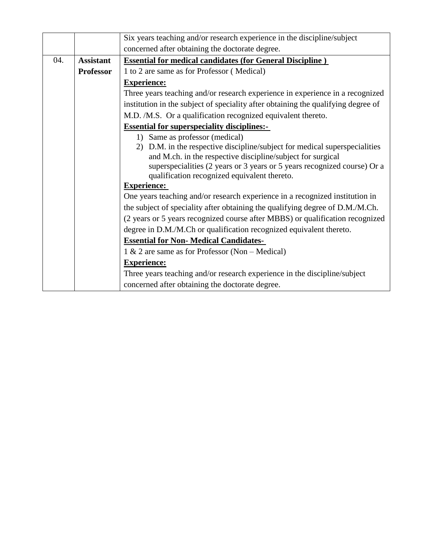|     |                  | Six years teaching and/or research experience in the discipline/subject           |  |  |
|-----|------------------|-----------------------------------------------------------------------------------|--|--|
|     |                  | concerned after obtaining the doctorate degree.                                   |  |  |
| 04. | <b>Assistant</b> | <b>Essential for medical candidates (for General Discipline)</b>                  |  |  |
|     | <b>Professor</b> | 1 to 2 are same as for Professor (Medical)                                        |  |  |
|     |                  | <b>Experience:</b>                                                                |  |  |
|     |                  | Three years teaching and/or research experience in experience in a recognized     |  |  |
|     |                  | institution in the subject of speciality after obtaining the qualifying degree of |  |  |
|     |                  | M.D. /M.S. Or a qualification recognized equivalent thereto.                      |  |  |
|     |                  | <b>Essential for superspeciality disciplines:-</b>                                |  |  |
|     |                  | 1) Same as professor (medical)                                                    |  |  |
|     |                  | D.M. in the respective discipline/subject for medical superspecialities<br>2)     |  |  |
|     |                  | and M.ch. in the respective discipline/subject for surgical                       |  |  |
|     |                  | superspecialities (2 years or 3 years or 5 years recognized course) Or a          |  |  |
|     |                  | qualification recognized equivalent thereto.<br><b>Experience:</b>                |  |  |
|     |                  | One years teaching and/or research experience in a recognized institution in      |  |  |
|     |                  | the subject of speciality after obtaining the qualifying degree of D.M./M.Ch.     |  |  |
|     |                  | (2 years or 5 years recognized course after MBBS) or qualification recognized     |  |  |
|     |                  | degree in D.M./M.Ch or qualification recognized equivalent thereto.               |  |  |
|     |                  | <b>Essential for Non- Medical Candidates-</b>                                     |  |  |
|     |                  | $1 \& 2$ are same as for Professor (Non – Medical)                                |  |  |
|     |                  | <b>Experience:</b>                                                                |  |  |
|     |                  | Three years teaching and/or research experience in the discipline/subject         |  |  |
|     |                  | concerned after obtaining the doctorate degree.                                   |  |  |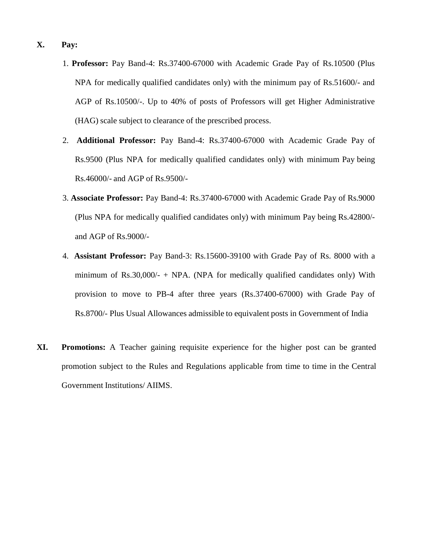#### **X. Pay:**

- 1. **Professor:** Pay Band-4: Rs.37400-67000 with Academic Grade Pay of Rs.10500 (Plus NPA for medically qualified candidates only) with the minimum pay of Rs.51600/- and AGP of Rs.10500/-. Up to 40% of posts of Professors will get Higher Administrative (HAG) scale subject to clearance of the prescribed process.
- 2. **Additional Professor:** Pay Band-4: Rs.37400-67000 with Academic Grade Pay of Rs.9500 (Plus NPA for medically qualified candidates only) with minimum Pay being Rs.46000/- and AGP of Rs.9500/-
- 3. **Associate Professor:** Pay Band-4: Rs.37400-67000 with Academic Grade Pay of Rs.9000 (Plus NPA for medically qualified candidates only) with minimum Pay being Rs.42800/ and AGP of Rs.9000/-
- 4. **Assistant Professor:** Pay Band-3: Rs.15600-39100 with Grade Pay of Rs. 8000 with a minimum of Rs.30,000/- + NPA. (NPA for medically qualified candidates only) With provision to move to PB-4 after three years (Rs.37400-67000) with Grade Pay of Rs.8700/- Plus Usual Allowances admissible to equivalent posts in Government of India
- **XI. Promotions:** A Teacher gaining requisite experience for the higher post can be granted promotion subject to the Rules and Regulations applicable from time to time in the Central Government Institutions/ AIIMS.